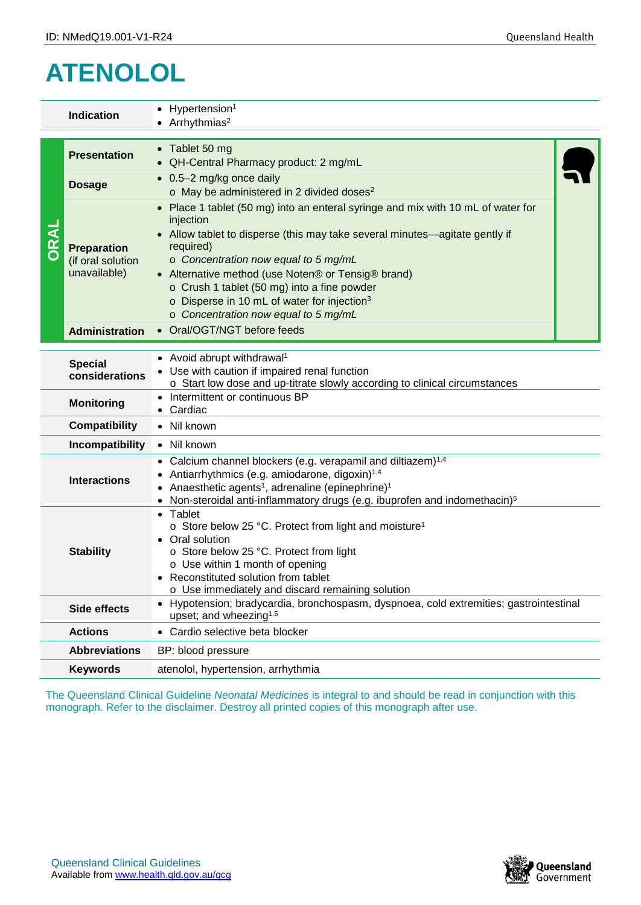## **ATENOLOL**

|                                                                 | <b>Indication</b>                                                                                                                          | Hypertension <sup>1</sup><br>Arrhythmias <sup>2</sup>                                                                                                                                                                                                                                                                                                                                                                                                                |  |  |
|-----------------------------------------------------------------|--------------------------------------------------------------------------------------------------------------------------------------------|----------------------------------------------------------------------------------------------------------------------------------------------------------------------------------------------------------------------------------------------------------------------------------------------------------------------------------------------------------------------------------------------------------------------------------------------------------------------|--|--|
|                                                                 | <b>Presentation</b>                                                                                                                        | • Tablet 50 mg<br>QH-Central Pharmacy product: 2 mg/mL                                                                                                                                                                                                                                                                                                                                                                                                               |  |  |
|                                                                 | <b>Dosage</b>                                                                                                                              | 0.5-2 mg/kg once daily<br>o May be administered in 2 divided doses <sup>2</sup>                                                                                                                                                                                                                                                                                                                                                                                      |  |  |
|                                                                 | <b>Preparation</b><br>(if oral solution<br>unavailable)<br><b>Administration</b>                                                           | Place 1 tablet (50 mg) into an enteral syringe and mix with 10 mL of water for<br>injection<br>Allow tablet to disperse (this may take several minutes—agitate gently if<br>required)<br>o Concentration now equal to 5 mg/mL<br>• Alternative method (use Noten® or Tensig® brand)<br>o Crush 1 tablet (50 mg) into a fine powder<br>o Disperse in 10 mL of water for injection <sup>3</sup><br>o Concentration now equal to 5 mg/mL<br>• Oral/OGT/NGT before feeds |  |  |
|                                                                 |                                                                                                                                            | • Avoid abrupt withdrawal <sup>1</sup>                                                                                                                                                                                                                                                                                                                                                                                                                               |  |  |
| <b>Special</b><br>considerations                                |                                                                                                                                            | Use with caution if impaired renal function<br>o Start low dose and up-titrate slowly according to clinical circumstances                                                                                                                                                                                                                                                                                                                                            |  |  |
| Intermittent or continuous BP<br><b>Monitoring</b><br>• Cardiac |                                                                                                                                            |                                                                                                                                                                                                                                                                                                                                                                                                                                                                      |  |  |
|                                                                 | • Nil known<br><b>Compatibility</b>                                                                                                        |                                                                                                                                                                                                                                                                                                                                                                                                                                                                      |  |  |
|                                                                 | Incompatibility<br>• Nil known                                                                                                             |                                                                                                                                                                                                                                                                                                                                                                                                                                                                      |  |  |
| <b>Interactions</b>                                             |                                                                                                                                            | Calcium channel blockers (e.g. verapamil and diltiazem) <sup>1,4</sup><br>Antiarrhythmics (e.g. amiodarone, digoxin) <sup>1,4</sup><br>• Anaesthetic agents <sup>1</sup> , adrenaline (epinephrine) <sup>1</sup><br>• Non-steroidal anti-inflammatory drugs (e.g. ibuprofen and indomethacin) <sup>5</sup>                                                                                                                                                           |  |  |
| <b>Stability</b>                                                |                                                                                                                                            | • Tablet<br>o Store below 25 °C. Protect from light and moisture <sup>1</sup><br>Oral solution<br>o Store below 25 °C. Protect from light<br>o Use within 1 month of opening<br>Reconstituted solution from tablet<br>o Use immediately and discard remaining solution                                                                                                                                                                                               |  |  |
|                                                                 | Hypotension; bradycardia, bronchospasm, dyspnoea, cold extremities; gastrointestinal<br>Side effects<br>upset; and wheezing <sup>1,5</sup> |                                                                                                                                                                                                                                                                                                                                                                                                                                                                      |  |  |
|                                                                 | <b>Actions</b><br>• Cardio selective beta blocker                                                                                          |                                                                                                                                                                                                                                                                                                                                                                                                                                                                      |  |  |
|                                                                 | <b>Abbreviations</b><br>BP: blood pressure                                                                                                 |                                                                                                                                                                                                                                                                                                                                                                                                                                                                      |  |  |
|                                                                 | <b>Keywords</b>                                                                                                                            | atenolol, hypertension, arrhythmia                                                                                                                                                                                                                                                                                                                                                                                                                                   |  |  |
|                                                                 |                                                                                                                                            | The Queensland Clinical Guideline Neonatal Medicines is integral to and should be read in conjunction with this<br>monograph. Refer to the disclaimer. Destroy all printed copies of this monograph after use.                                                                                                                                                                                                                                                       |  |  |